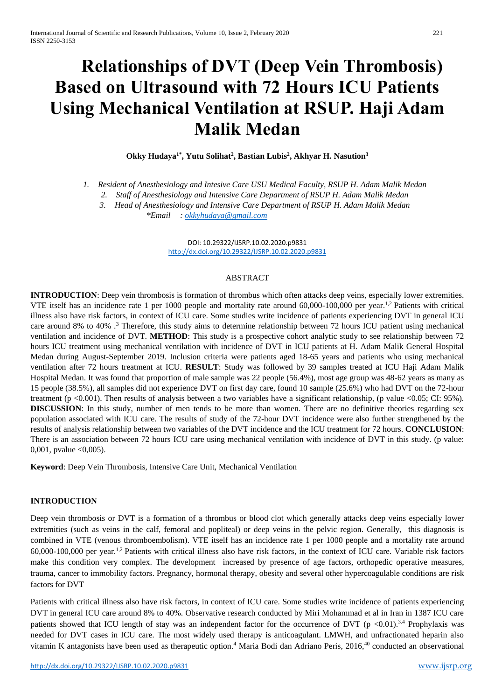# **Relationships of DVT (Deep Vein Thrombosis) Based on Ultrasound with 72 Hours ICU Patients Using Mechanical Ventilation at RSUP. Haji Adam Malik Medan**

**Okky Hudaya1\*, Yutu Solihat<sup>2</sup> , Bastian Lubis<sup>2</sup> , Akhyar H. Nasution<sup>3</sup>**

*1. Resident of Anesthesiology and Intesive Care USU Medical Faculty, RSUP H. Adam Malik Medan*

*2. Staff of Anesthesiology and Intensive Care Department of RSUP H. Adam Malik Medan*

*3. Head of Anesthesiology and Intensive Care Department of RSUP H. Adam Malik Medan \*Email [: okkyhudaya@gmail.com](mailto:okkyhudaya@gmail.com)*

> DOI: 10.29322/IJSRP.10.02.2020.p9831 <http://dx.doi.org/10.29322/IJSRP.10.02.2020.p9831>

#### ABSTRACT

**INTRODUCTION**: Deep vein thrombosis is formation of thrombus which often attacks deep veins, especially lower extremities. VTE itself has an incidence rate 1 per 1000 people and mortality rate around 60,000-100,000 per year.1,2 Patients with critical illness also have risk factors, in context of ICU care. Some studies write incidence of patients experiencing DVT in general ICU care around 8% to 40% .<sup>3</sup> Therefore, this study aims to determine relationship between 72 hours ICU patient using mechanical ventilation and incidence of DVT. **METHOD**: This study is a prospective cohort analytic study to see relationship between 72 hours ICU treatment using mechanical ventilation with incidence of DVT in ICU patients at H. Adam Malik General Hospital Medan during August-September 2019. Inclusion criteria were patients aged 18-65 years and patients who using mechanical ventilation after 72 hours treatment at ICU. **RESULT**: Study was followed by 39 samples treated at ICU Haji Adam Malik Hospital Medan. It was found that proportion of male sample was 22 people (56.4%), most age group was 48-62 years as many as 15 people (38.5%), all samples did not experience DVT on first day care, found 10 sample (25.6%) who had DVT on the 72-hour treatment (p <0.001). Then results of analysis between a two variables have a significant relationship, (p value <0.05; CI: 95%). **DISCUSSION**: In this study, number of men tends to be more than women. There are no definitive theories regarding sex population associated with ICU care. The results of study of the 72-hour DVT incidence were also further strengthened by the results of analysis relationship between two variables of the DVT incidence and the ICU treatment for 72 hours. **CONCLUSION**: There is an association between 72 hours ICU care using mechanical ventilation with incidence of DVT in this study. (p value: 0,001, pvalue <0,005).

**Keyword**: Deep Vein Thrombosis, Intensive Care Unit, Mechanical Ventilation

#### **INTRODUCTION**

Deep vein thrombosis or DVT is a formation of a thrombus or blood clot which generally attacks deep veins especially lower extremities (such as veins in the calf, femoral and popliteal) or deep veins in the pelvic region. Generally, this diagnosis is combined in VTE (venous thromboembolism). VTE itself has an incidence rate 1 per 1000 people and a mortality rate around 60,000-100,000 per year.1,2 Patients with critical illness also have risk factors, in the context of ICU care. Variable risk factors make this condition very complex. The development increased by presence of age factors, orthopedic operative measures, trauma, cancer to immobility factors. Pregnancy, hormonal therapy, obesity and several other hypercoagulable conditions are risk factors for DVT

Patients with critical illness also have risk factors, in context of ICU care. Some studies write incidence of patients experiencing DVT in general ICU care around 8% to 40%. Observative research conducted by Miri Mohammad et al in Iran in 1387 ICU care patients showed that ICU length of stay was an independent factor for the occurrence of DVT (p  $\lt 0.01$ ).<sup>3.4</sup> Prophylaxis was needed for DVT cases in ICU care. The most widely used therapy is anticoagulant. LMWH, and unfractionated heparin also vitamin K antagonists have been used as therapeutic option.<sup>4</sup> Maria Bodi dan Adriano Peris, 2016,<sup>40</sup> conducted an observational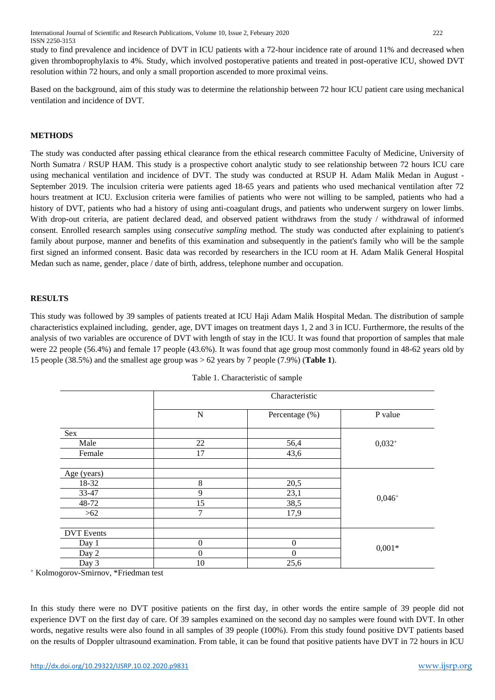study to find prevalence and incidence of DVT in ICU patients with a 72-hour incidence rate of around 11% and decreased when given thromboprophylaxis to 4%. Study, which involved postoperative patients and treated in post-operative ICU, showed DVT resolution within 72 hours, and only a small proportion ascended to more proximal veins.

Based on the background, aim of this study was to determine the relationship between 72 hour ICU patient care using mechanical ventilation and incidence of DVT.

## **METHODS**

The study was conducted after passing ethical clearance from the ethical research committee Faculty of Medicine, University of North Sumatra / RSUP HAM. This study is a prospective cohort analytic study to see relationship between 72 hours ICU care using mechanical ventilation and incidence of DVT. The study was conducted at RSUP H. Adam Malik Medan in August - September 2019. The inculsion criteria were patients aged 18-65 years and patients who used mechanical ventilation after 72 hours treatment at ICU. Exclusion criteria were families of patients who were not willing to be sampled, patients who had a history of DVT, patients who had a history of using anti-coagulant drugs, and patients who underwent surgery on lower limbs. With drop-out criteria, are patient declared dead, and observed patient withdraws from the study / withdrawal of informed consent. Enrolled research samples using *consecutive sampling* method. The study was conducted after explaining to patient's family about purpose, manner and benefits of this examination and subsequently in the patient's family who will be the sample first signed an informed consent. Basic data was recorded by researchers in the ICU room at H. Adam Malik General Hospital Medan such as name, gender, place / date of birth, address, telephone number and occupation.

#### **RESULTS**

This study was followed by 39 samples of patients treated at ICU Haji Adam Malik Hospital Medan. The distribution of sample characteristics explained including, gender, age, DVT images on treatment days 1, 2 and 3 in ICU. Furthermore, the results of the analysis of two variables are occurence of DVT with length of stay in the ICU. It was found that proportion of samples that male were 22 people (56.4%) and female 17 people (43.6%). It was found that age group most commonly found in 48-62 years old by 15 people (38.5%) and the smallest age group was > 62 years by 7 people (7.9%) (**Table 1**).

|                                                                                                                                                                                                                                                                  |             | Characteristic |           |  |
|------------------------------------------------------------------------------------------------------------------------------------------------------------------------------------------------------------------------------------------------------------------|-------------|----------------|-----------|--|
|                                                                                                                                                                                                                                                                  | $\mathbf N$ | Percentage (%) | P value   |  |
| Sex<br>22<br>Male<br>56,4<br>Female<br>17<br>43,6<br>Age (years)<br>$8\,$<br>18-32<br>20,5<br>9<br>33-47<br>23,1<br>15<br>48-72<br>38,5<br>7<br>17,9<br>$>62$<br><b>DVT</b> Events<br>$\mathbf{0}$<br>$\boldsymbol{0}$<br>Day 1<br>$\Omega$<br>$\theta$<br>Day 2 |             |                |           |  |
|                                                                                                                                                                                                                                                                  |             |                | $0,032+$  |  |
|                                                                                                                                                                                                                                                                  |             |                |           |  |
|                                                                                                                                                                                                                                                                  |             |                |           |  |
|                                                                                                                                                                                                                                                                  |             |                |           |  |
|                                                                                                                                                                                                                                                                  |             |                | $0,046^+$ |  |
|                                                                                                                                                                                                                                                                  |             |                |           |  |
|                                                                                                                                                                                                                                                                  |             |                |           |  |
|                                                                                                                                                                                                                                                                  |             |                |           |  |
|                                                                                                                                                                                                                                                                  |             |                |           |  |
|                                                                                                                                                                                                                                                                  |             |                |           |  |
|                                                                                                                                                                                                                                                                  |             |                | $0,001*$  |  |
|                                                                                                                                                                                                                                                                  |             |                |           |  |
| Day 3                                                                                                                                                                                                                                                            | 10          | 25,6           |           |  |

| Table 1. Characteristic of sample |  |  |  |
|-----------------------------------|--|--|--|
|-----------------------------------|--|--|--|

<sup>+</sup> Kolmogorov-Smirnov, \*Friedman test

In this study there were no DVT positive patients on the first day, in other words the entire sample of 39 people did not experience DVT on the first day of care. Of 39 samples examined on the second day no samples were found with DVT. In other words, negative results were also found in all samples of 39 people (100%). From this study found positive DVT patients based on the results of Doppler ultrasound examination. From table, it can be found that positive patients have DVT in 72 hours in ICU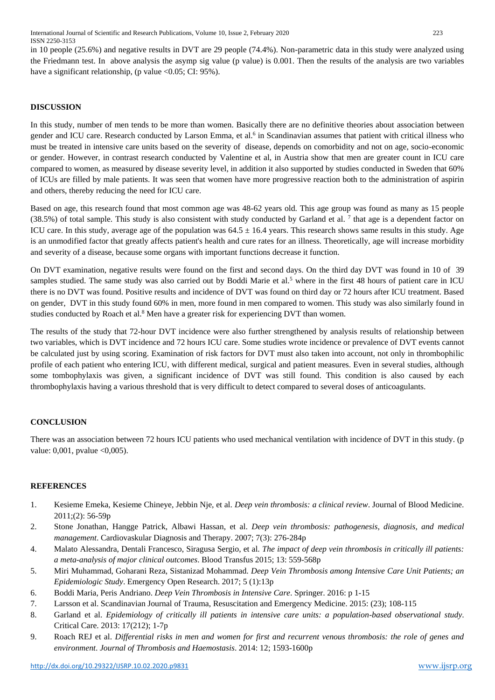in 10 people (25.6%) and negative results in DVT are 29 people (74.4%). Non-parametric data in this study were analyzed using the Friedmann test. In above analysis the asymp sig value (p value) is 0.001. Then the results of the analysis are two variables have a significant relationship, (p value  $\langle 0.05; \text{CI}: 95\% \rangle$ ).

# **DISCUSSION**

In this study, number of men tends to be more than women. Basically there are no definitive theories about association between gender and ICU care. Research conducted by Larson Emma, et al.<sup>6</sup> in Scandinavian assumes that patient with critical illness who must be treated in intensive care units based on the severity of disease, depends on comorbidity and not on age, socio-economic or gender. However, in contrast research conducted by Valentine et al, in Austria show that men are greater count in ICU care compared to women, as measured by disease severity level, in addition it also supported by studies conducted in Sweden that 60% of ICUs are filled by male patients. It was seen that women have more progressive reaction both to the administration of aspirin and others, thereby reducing the need for ICU care.

Based on age, this research found that most common age was 48-62 years old. This age group was found as many as 15 people  $(38.5%)$  of total sample. This study is also consistent with study conducted by Garland et al. <sup>7</sup> that age is a dependent factor on ICU care. In this study, average age of the population was  $64.5 \pm 16.4$  years. This research shows same results in this study. Age is an unmodified factor that greatly affects patient's health and cure rates for an illness. Theoretically, age will increase morbidity and severity of a disease, because some organs with important functions decrease it function.

On DVT examination, negative results were found on the first and second days. On the third day DVT was found in 10 of 39 samples studied. The same study was also carried out by Boddi Marie et al.<sup>5</sup> where in the first 48 hours of patient care in ICU there is no DVT was found. Positive results and incidence of DVT was found on third day or 72 hours after ICU treatment. Based on gender, DVT in this study found 60% in men, more found in men compared to women. This study was also similarly found in studies conducted by Roach et al.<sup>8</sup> Men have a greater risk for experiencing DVT than women.

The results of the study that 72-hour DVT incidence were also further strengthened by analysis results of relationship between two variables, which is DVT incidence and 72 hours ICU care. Some studies wrote incidence or prevalence of DVT events cannot be calculated just by using scoring. Examination of risk factors for DVT must also taken into account, not only in thrombophilic profile of each patient who entering ICU, with different medical, surgical and patient measures. Even in several studies, although some tombophylaxis was given, a significant incidence of DVT was still found. This condition is also caused by each thrombophylaxis having a various threshold that is very difficult to detect compared to several doses of anticoagulants.

# **CONCLUSION**

There was an association between 72 hours ICU patients who used mechanical ventilation with incidence of DVT in this study. (p value: 0,001, pvalue <0,005).

# **REFERENCES**

- 1. Kesieme Emeka, Kesieme Chineye, Jebbin Nje, et al. *Deep vein thrombosis: a clinical review*. Journal of Blood Medicine. 2011;(2): 56-59p
- 2. Stone Jonathan, Hangge Patrick, Albawi Hassan, et al. *Deep vein thrombosis: pathogenesis, diagnosis, and medical management*. Cardiovaskular Diagnosis and Therapy. 2007; 7(3): 276-284p
- 4. Malato Alessandra, Dentali Francesco, Siragusa Sergio, et al. *The impact of deep vein thrombosis in critically ill patients: a meta-analysis of major clinical outcomes*. Blood Transfus 2015; 13: 559-568p
- 5. Miri Muhammad, Goharani Reza, Sistanizad Mohammad. *Deep Vein Thrombosis among Intensive Care Unit Patients; an Epidemiologic Study*. Emergency Open Research. 2017; 5 (1):13p
- 6. Boddi Maria, Peris Andriano. *Deep Vein Thrombosis in Intensive Care*. Springer. 2016: p 1-15
- 7. Larsson et al. Scandinavian Journal of Trauma, Resuscitation and Emergency Medicine. 2015: (23); 108-115
- 8. Garland et al. *Epidemiology of critically ill patients in intensive care units: a population-based observational study*. Critical Care. 2013: 17(212); 1-7p
- 9. Roach REJ et al. *Differential risks in men and women for first and recurrent venous thrombosis: the role of genes and environment*. *Journal of Thrombosis and Haemostasis*. 2014: 12; 1593-1600p